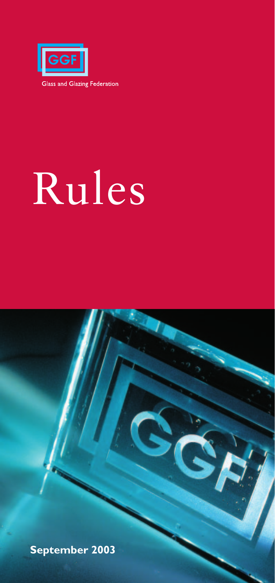

# Rules

**September 2003**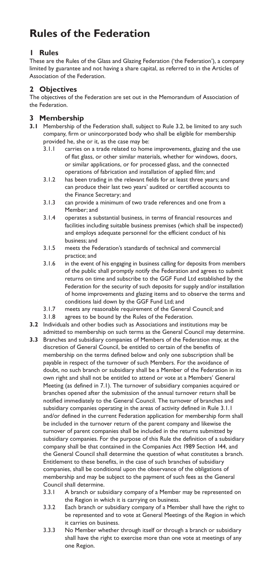# **Rules of the Federation**

## **1 Rules**

These are the Rules of the Glass and Glazing Federation ('the Federation'), a company limited by guarantee and not having a share capital, as referred to in the Articles of Association of the Federation.

# **2 Objectives**

The objectives of the Federation are set out in the Memorandum of Association of the Federation.

# **3 Membership**

- **3.1** Membership of the Federation shall, subject to Rule 3.2, be limited to any such company, firm or unincorporated body who shall be eligible for membership provided he, she or it, as the case may be:
	- 3.1.1 carries on a trade related to home improvements, glazing and the use of flat glass, or other similar materials, whether for windows, doors, or similar applications, or for processed glass, and the connected operations of fabrication and installation of applied film; and
	- 3.1.2 has been trading in the relevant fields for at least three years; and can produce their last two years' audited or certified accounts to the Finance Secretary; and
	- 3.1.3 can provide a minimum of two trade references and one from a Member; and
	- 3.1.4 operates a substantial business, in terms of financial resources and facilities including suitable business premises (which shall be inspected) and employs adequate personnel for the efficient conduct of his business; and
	- 3.1.5 meets the Federation's standards of technical and commercial practice; and
	- 3.1.6 in the event of his engaging in business calling for deposits from members of the public shall promptly notify the Federation and agrees to submit returns on time and subscribe to the GGF Fund Ltd established by the Federation for the security of such deposits for supply and/or installation of home improvements and glazing items and to observe the terms and conditions laid down by the GGF Fund Ltd; and
	- 3.1.7 meets any reasonable requirement of the General Council; and
	- 3.1.8 agrees to be bound by the Rules of the Federation.
- **3.2** Individuals and other bodies such as Associations and institutions may be admitted to membership on such terms as the General Council may determine.
- **3.3** Branches and subsidiary companies of Members of the Federation may, at the discretion of General Council, be entitled to certain of the benefits of membership on the terms defined below and only one subscription shall be payable in respect of the turnover of such Members. For the avoidance of doubt, no such branch or subsidiary shall be a Member of the Federation in its own right and shall not be entitled to attend or vote at a Members' General Meeting (as defined in 7.1). The turnover of subsidiary companies acquired or branches opened after the submission of the annual turnover return shall be notified immediately to the General Council. The turnover of branches and subsidiary companies operating in the areas of activity defined in Rule 3.1.1 and/or defined in the current Federation application for membership form shall be included in the turnover return of the parent company and likewise the turnover of parent companies shall be included in the returns submitted by subsidiary companies. For the purpose of this Rule the definition of a subsidiary company shall be that contained in the Companies Act 1989 Section 144, and the General Council shall determine the question of what constitutes a branch. Entitlement to these benefits, in the case of such branches of subsidiary companies, shall be conditional upon the observance of the obligations of membership and may be subject to the payment of such fees as the General Council shall determine.
	- 3.3.1 A branch or subsidiary company of a Member may be represented on the Region in which it is carrying on business.
	- 3.3.2 Each branch or subsidiary company of a Member shall have the right to be represented and to vote at General Meetings of the Region in which it carries on business.
	- 3.3.3 No Member whether through itself or through a branch or subsidiary shall have the right to exercise more than one vote at meetings of any one Region.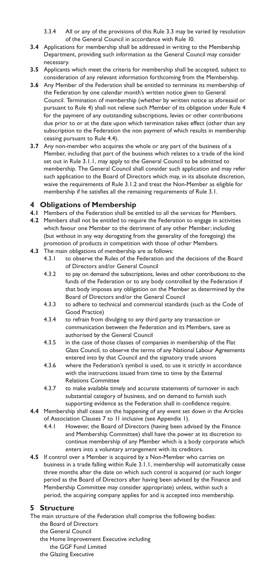- 3.3.4 All or any of the provisions of this Rule 3.3 may be varied by resolution of the General Council in accordance with Rule 10.
- **3.4** Applications for membership shall be addressed in writing to the Membership Department, providing such information as the General Council may consider necessary.
- **3.5** Applicants which meet the criteria for membership shall be accepted, subject to consideration of any relevant information forthcoming from the Membership.
- **3.6** Any Member of the Federation shall be entitled to terminate its membership of the Federation by one calendar month's written notice given to General Council. Termination of membership (whether by written notice as aforesaid or pursuant to Rule 4) shall not relieve such Member of its obligation under Rule 4 for the payment of any outstanding subscriptions, levies or other contributions due prior to or at the date upon which termination takes effect (other than any subscription to the Federation the non payment of which results in membership ceasing pursuant to Rule 4.4).
- **3.7** Any non-member who acquires the whole or any part of the business of a Member, including that part of the business which relates to a trade of the kind set out in Rule 3.1.1, may apply to the General Council to be admitted to membership. The General Council shall consider such application and may refer such application to the Board of Directors which may, in its absolute discretion, waive the requirements of Rule 3.1.2 and treat the Non-Member as eligible for membership if he satisfies all the remaining requirements of Rule 3.1.

#### **4 Obligations of Membership**

- **4.1** Members of the Federation shall be entitled to all the services for Members.
- **4.2** Members shall not be entitled to require the Federation to engage in activities which favour one Member to the detriment of any other Member; including (but without in any way derogating from the generality of the foregoing) the promotion of products in competition with those of other Members.
- **4.3** The main obligations of membership are as follows:
	- 4.3.1 to observe the Rules of the Federation and the decisions of the Board of Directors and/or General Council
	- 4.3.2 to pay on demand the subscriptions, levies and other contributions to the funds of the Federation or to any body controlled by the Federation if that body imposes any obligation on the Member as determined by the Board of Directors and/or the General Council
	- 4.3.3 to adhere to technical and commercial standards (such as the Code of Good Practice)
	- 4.3.4 to refrain from divulging to any third party any transaction or communication between the Federation and its Members, save as authorised by the General Council
	- 4.3.5 in the case of those classes of companies in membership of the Flat Glass Council, to observe the terms of any National Labour Agreements entered into by that Council and the signatory trade unions
	- 4.3.6 where the Federation's symbol is used, to use it strictly in accordance with the instructions issued from time to time by the External Relations Committee
	- 4.3.7 to make available timely and accurate statements of turnover in each substantial category of business, and on demand to furnish such supporting evidence as the Federation shall in confidence require.
- **4.4** Membership shall cease on the happening of any event set down in the Articles of Association Clauses 7 to 11 inclusive (see Appendix 1).
	- 4.4.1 However, the Board of Directors (having been advised by the Finance and Membership Committee) shall have the power at its discretion to continue membership of any Member which is a body corporate which enters into a voluntary arrangement with its creditors.
- **4.5** If control over a Member is acquired by a Non-Member who carries on business in a trade falling within Rule 3.1.1, membership will automatically cease three months after the date on which such control is acquired (or such longer period as the Board of Directors after having been advised by the Finance and Membership Committee may consider appropriate) unless, within such a period, the acquiring company applies for and is accepted into membership.

#### **5 Structure**

The main structure of the Federation shall comprise the following bodies:

- the Board of Directors
- the General Council
- the Home Improvement Executive including
	- the GGF Fund Limited
- the Glazing Executive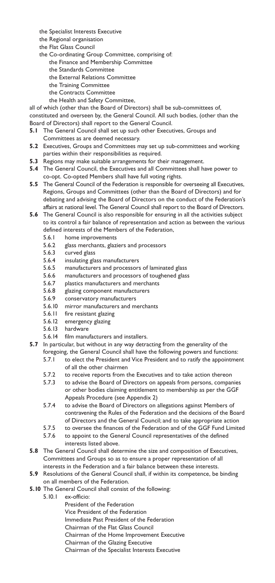- the Specialist Interests Executive
- the Regional organisation
- the Flat Glass Council
- the Co-ordinating Group Committee, comprising of:
	- the Finance and Membership Committee
	- the Standards Committee
	- the External Relations Committee
	- the Training Committee
	- the Contracts Committee
	- the Health and Safety Committee,

all of which (other than the Board of Directors) shall be sub-committees of, constituted and overseen by, the General Council. All such bodies, (other than the Board of Directors) shall report to the General Council.

- **5.1** The General Council shall set up such other Executives, Groups and Committees as are deemed necessary.
- **5.2** Executives, Groups and Committees may set up sub-committees and working parties within their responsibilities as required.
- **5.3** Regions may make suitable arrangements for their management.
- **5.4** The General Council, the Executives and all Committees shall have power to co-opt. Co-opted Members shall have full voting rights.
- **5.5** The General Council of the Federation is responsible for overseeing all Executives, Regions, Groups and Committees (other than the Board of Directors) and for debating and advising the Board of Directors on the conduct of the Federation's affairs at national level. The General Council shall report to the Board of Directors.
- **5.6** The General Council is also responsible for ensuring in all the activities subject to its control a fair balance of representation and action as between the various defined interests of the Members of the Federation,
	- 5.6.1 home improvements
	- 5.6.2 glass merchants, glaziers and processors
	- 5.6.3 curved glass
	- 5.6.4 insulating glass manufacturers
	- 5.6.5 manufacturers and processors of laminated glass
	- 5.6.6 manufacturers and processors of toughened glass
	- 5.6.7 plastics manufacturers and merchants<br>5.6.8 glazing component manufacturers
	- glazing component manufacturers
	- 5.6.9 conservatory manufacturers
	- 5.6.10 mirror manufacturers and merchants
	- 5.6.11 fire resistant glazing
	- 5.6.12 emergency glazing
	- 5.6.13 hardware
	- 5.6.14 film manufacturers and installers.
- **5.7** In particular, but without in any way detracting from the generality of the foregoing, the General Council shall have the following powers and functions:
	- 5.7.1 to elect the President and Vice President and to ratify the appointment of all the other chairmen
	- 5.7.2 to receive reports from the Executives and to take action thereon
	- 5.7.3 to advise the Board of Directors on appeals from persons, companies or other bodies claiming entitlement to membership as per the GGF Appeals Procedure (see Appendix 2)
	- 5.7.4 to advise the Board of Directors on allegations against Members of contravening the Rules of the Federation and the decisions of the Board of Directors and the General Council; and to take appropriate action
	- 5.7.5 to oversee the finances of the Federation and of the GGF Fund Limited
	- 5.7.6 to appoint to the General Council representatives of the defined interests listed above.
- **5.8** The General Council shall determine the size and composition of Executives, Committees and Groups so as to ensure a proper representation of all interests in the Federation and a fair balance between these interests.
- **5.9** Resolutions of the General Council shall, if within its competence, be binding on all members of the Federation.
- **5.10** The General Council shall consist of the following:
	- 5.10.1 ex-officio:
		- President of the Federation
		- Vice President of the Federation
		- Immediate Past President of the Federation
		- Chairman of the Flat Glass Council
		- Chairman of the Home Improvement Executive
		- Chairman of the Glazing Executive
		- Chairman of the Specialist Interests Executive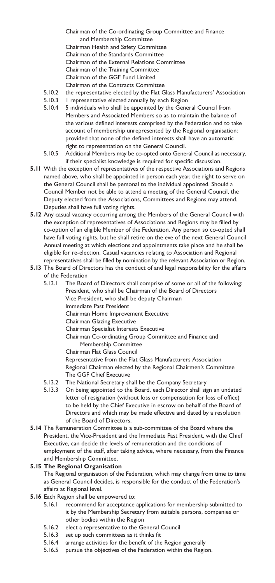Chairman of the Co-ordinating Group Committee and Finance and Membership Committee Chairman Health and Safety Committee Chairman of the Standards Committee Chairman of the External Relations Committee Chairman of the Training Committee Chairman of the GGF Fund Limited Chairman of the Contracts Committee

- 5.10.2 the representative elected by the Flat Glass Manufacturers' Association
- 5.10.3 I representative elected annually by each Region
- 5.10.4 5 individuals who shall be appointed by the General Council from Members and Associated Members so as to maintain the balance of the various defined interests comprised by the Federation and to take account of membership unrepresented by the Regional organisation: provided that none of the defined interests shall have an automatic right to representation on the General Council.
- 5.10.5 Additional Members may be co-opted onto General Council as necessary, if their specialist knowledge is required for specific discussion.
- **5.11** With the exception of representatives of the respective Associations and Regions named above, who shall be appointed in person each year, the right to serve on the General Council shall be personal to the individual appointed. Should a Council Member not be able to attend a meeting of the General Council, the Deputy elected from the Associations, Committees and Regions may attend. Deputies shall have full voting rights.
- **5.12** Any casual vacancy occurring among the Members of the General Council with the exception of representatives of Associations and Regions may be filled by co-option of an eligible Member of the Federation. Any person so co-opted shall have full voting rights, but he shall retire on the eve of the next General Council Annual meeting at which elections and appointments take place and he shall be eligible for re-election. Casual vacancies relating to Association and Regional representatives shall be filled by nomination by the relevant Association or Region.
- **5.13** The Board of Directors has the conduct of and legal responsibility for the affairs of the Federation

5.13.1 The Board of Directors shall comprise of some or all of the following: President, who shall be Chairman of the Board of Directors Vice President, who shall be deputy Chairman Immediate Past President Chairman Home Improvement Executive Chairman Glazing Executive Chairman Specialist Interests Executive Chairman Co-ordinating Group Committee and Finance and Membership Committee

Chairman Flat Glass Council

Representative from the Flat Glass Manufacturers Association Regional Chairman elected by the Regional Chairmen's Committee The GGF Chief Executive

- 5.13.2 The National Secretary shall be the Company Secretary
- 5.13.3 On being appointed to the Board, each Director shall sign an undated letter of resignation (without loss or compensation for loss of office) to be held by the Chief Executive in escrow on behalf of the Board of Directors and which may be made effective and dated by a resolution of the Board of Directors.
- **5.14** The Remuneration Committee is a sub-committee of the Board where the President, the Vice-President and the Immediate Past President, with the Chief Executive, can decide the levels of remuneration and the conditions of employment of the staff, after taking advice, where necessary, from the Finance and Membership Committee.

#### **5.15 The Regional Organisation**

The Regional organisation of the Federation, which may change from time to time as General Council decides, is responsible for the conduct of the Federation's affairs at Regional level.

- **5.16** Each Region shall be empowered to:
	- 5.16.1 recommend for acceptance applications for membership submitted to it by the Membership Secretary from suitable persons, companies or other bodies within the Region
	- 5.16.2 elect a representative to the General Council
	- 5.16.3 set up such committees as it thinks fit
	- 5.16.4 arrange activities for the benefit of the Region generally
	- 5.16.5 pursue the objectives of the Federation within the Region.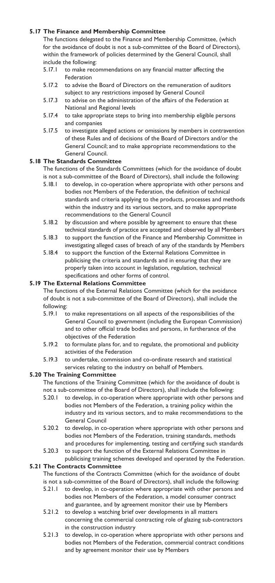#### **5.17 The Finance and Membership Committee**

The functions delegated to the Finance and Membership Committee, (which for the avoidance of doubt is not a sub-committee of the Board of Directors), within the framework of policies determined by the General Council, shall include the following:

- 5.17.1 to make recommendations on any financial matter affecting the Federation
- 5.17.2 to advise the Board of Directors on the remuneration of auditors subject to any restrictions imposed by General Council
- 5.17.3 to advise on the administration of the affairs of the Federation at National and Regional levels
- 5.17.4 to take appropriate steps to bring into membership eligible persons and companies
- 5.17.5 to investigate alleged actions or omissions by members in contravention of these Rules and of decisions of the Board of Directors and/or the General Council; and to make appropriate recommendations to the General Council.

#### **5.18 The Standards Committee**

The functions of the Standards Committees (which for the avoidance of doubt is not a sub-committee of the Board of Directors), shall include the following:

- 5.18.1 to develop, in co-operation where appropriate with other persons and bodies not Members of the Federation, the definition of technical standards and criteria applying to the products, processes and methods within the industry and its various sectors, and to make appropriate recommendations to the General Council
- 5.18.2 by discussion and where possible by agreement to ensure that these technical standards of practice are accepted and observed by all Members
- 5.18.3 to support the function of the Finance and Membership Committee in investigating alleged cases of breach of any of the standards by Members
- 5.18.4 to support the function of the External Relations Committee in publicising the criteria and standards and in ensuring that they are properly taken into account in legislation, regulation, technical specifications and other forms of control.

#### **5.19 The External Relations Committee**

The functions of the External Relations Committee (which for the avoidance of doubt is not a sub-committee of the Board of Directors), shall include the following:

- 5.19.1 to make representations on all aspects of the responsibilities of the General Council to government (including the European Commission) and to other official trade bodies and persons, in furtherance of the objectives of the Federation
- 5.19.2 to formulate plans for, and to regulate, the promotional and publicity activities of the Federation
- 5.19.3 to undertake, commission and co-ordinate research and statistical services relating to the industry on behalf of Members.

#### **5.20 The Training Committee**

The functions of the Training Committee (which for the avoidance of doubt is not a sub-committee of the Board of Directors), shall include the following:

- 5.20.1 to develop, in co-operation where appropriate with other persons and bodies not Members of the Federation, a training policy within the industry and its various sectors, and to make recommendations to the General Council
- 5.20.2 to develop, in co-operation where appropriate with other persons and bodies not Members of the Federation, training standards, methods and procedures for implementing, testing and certifying such standards
- 5.20.3 to support the function of the External Relations Committee in publicising training schemes developed and operated by the Federation.

#### **5.21 The Contracts Committee**

The functions of the Contracts Committee (which for the avoidance of doubt is not a sub-committee of the Board of Directors), shall include the following:

- 5.21.1 to develop, in co-operation where appropriate with other persons and bodies not Members of the Federation, a model consumer contract and guarantee, and by agreement monitor their use by Members
- 5.21.2 to develop a watching brief over developments in all matters concerning the commercial contracting role of glazing sub-contractors in the construction industry
- 5.21.3 to develop, in co-operation where appropriate with other persons and bodies not Members of the Federation, commercial contract conditions and by agreement monitor their use by Members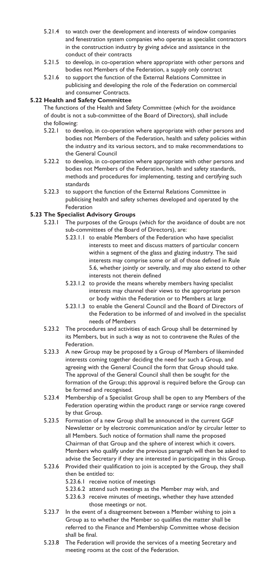- 5.21.4 to watch over the development and interests of window companies and fenestration system companies who operate as specialist contractors in the construction industry by giving advice and assistance in the conduct of their contracts
- 5.21.5 to develop, in co-operation where appropriate with other persons and bodies not Members of the Federation, a supply only contract
- 5.21.6 to support the function of the External Relations Committee in publicising and developing the role of the Federation on commercial and consumer Contracts.

#### **5.22 Health and Safety Committee**

The functions of the Health and Safety Committee (which for the avoidance of doubt is not a sub-committee of the Board of Directors), shall include the following:

- 5.22.1 to develop, in co-operation where appropriate with other persons and bodies not Members of the Federation, health and safety policies within the industry and its various sectors, and to make recommendations to the General Council
- 5.22.2 to develop, in co-operation where appropriate with other persons and bodies not Members of the Federation, health and safety standards, methods and procedures for implementing, testing and certifying such standards
- 5.22.3 to support the function of the External Relations Committee in publicising health and safety schemes developed and operated by the Federation

#### **5.23 The Specialist Advisory Groups**

- 5.23.1 The purposes of the Groups (which for the avoidance of doubt are not sub-committees of the Board of Directors), are:
	- 5.23.1.1 to enable Members of the Federation who have specialist interests to meet and discuss matters of particular concern within a segment of the glass and glazing industry. The said interests may comprise some or all of those defined in Rule 5.6, whether jointly or severally, and may also extend to other interests not therein defined
	- 5.23.1.2 to provide the means whereby members having specialist interests may channel their views to the appropriate person or body within the Federation or to Members at large
	- 5.23.1.3 to enable the General Council and the Board of Directors of the Federation to be informed of and involved in the specialist needs of Members
- 5.23.2 The procedures and activities of each Group shall be determined by its Members, but in such a way as not to contravene the Rules of the Federation.
- 5.23.3 A new Group may be proposed by a Group of Members of likeminded interests coming together deciding the need for such a Group, and agreeing with the General Council the form that Group should take. The approval of the General Council shall then be sought for the formation of the Group; this approval is required before the Group can be formed and recognised.
- 5.23.4 Membership of a Specialist Group shall be open to any Members of the Federation operating within the product range or service range covered by that Group.
- 5.23.5 Formation of a new Group shall be announced in the current GGF Newsletter or by electronic communication and/or by circular letter to all Members. Such notice of formation shall name the proposed Chairman of that Group and the sphere of interest which it covers. Members who qualify under the previous paragraph will then be asked to advise the Secretary if they are interested in participating in this Group.
- 5.23.6 Provided their qualification to join is accepted by the Group, they shall then be entitled to:
	- 5.23.6.1 receive notice of meetings
	- 5.23.6.2 attend such meetings as the Member may wish, and
	- 5.23.6.3 receive minutes of meetings, whether they have attended those meetings or not.
- 5.23.7 In the event of a disagreement between a Member wishing to join a Group as to whether the Member so qualifies the matter shall be referred to the Finance and Membership Committee whose decision shall be final.
- 5.23.8 The Federation will provide the services of a meeting Secretary and meeting rooms at the cost of the Federation.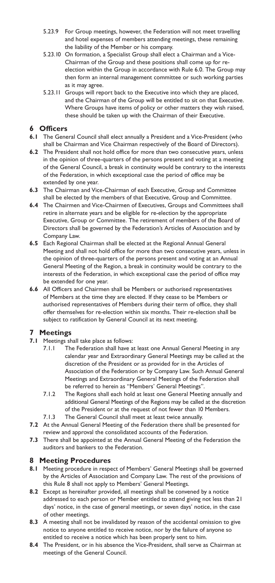- 5.23.9 For Group meetings, however, the Federation will not meet travelling and hotel expenses of members attending meetings, these remaining the liability of the Member or his company.
- 5.23.10 On formation, a Specialist Group shall elect a Chairman and a Vice-Chairman of the Group and these positions shall come up for reelection within the Group in accordance with Rule 6.0. The Group may then form an internal management committee or such working parties as it may agree.
- 5.23.11 Groups will report back to the Executive into which they are placed, and the Chairman of the Group will be entitled to sit on that Executive. Where Groups have items of policy or other matters they wish raised, these should be taken up with the Chairman of their Executive.

# **6 Officers**

- **6.1** The General Council shall elect annually a President and a Vice-President (who shall be Chairman and Vice Chairman respectively of the Board of Directors).
- **6.2** The President shall not hold office for more than two consecutive years, unless in the opinion of three-quarters of the persons present and voting at a meeting of the General Council, a break in continuity would be contrary to the interests of the Federation, in which exceptional case the period of office may be extended by one year.
- **6.3** The Chairman and Vice-Chairman of each Executive, Group and Committee shall be elected by the members of that Executive, Group and Committee.
- **6.4** The Chairmen and Vice-Chairmen of Executives, Groups and Committees shall retire in alternate years and be eligible for re-election by the appropriate Executive, Group or Committee. The retirement of members of the Board of Directors shall be governed by the Federation's Articles of Association and by Company Law.
- **6.5** Each Regional Chairman shall be elected at the Regional Annual General Meeting and shall not hold office for more than two consecutive years, unless in the opinion of three-quarters of the persons present and voting at an Annual General Meeting of the Region, a break in continuity would be contrary to the interests of the Federation, in which exceptional case the period of office may be extended for one year.
- **6.6** All Officers and Chairmen shall be Members or authorised representatives of Members at the time they are elected. If they cease to be Members or authorised representatives of Members during their term of office, they shall offer themselves for re-election within six months. Their re-election shall be subject to ratification by General Council at its next meeting.

## **7 Meetings**

- **7.1** Meetings shall take place as follows:
	- 7.1.1 The Federation shall have at least one Annual General Meeting in any calendar year and Extraordinary General Meetings may be called at the discretion of the President or as provided for in the Articles of Association of the Federation or by Company Law. Such Annual General Meetings and Extraordinary General Meetings of the Federation shall be referred to herein as "Members' General Meetings".
	- 7.1.2 The Regions shall each hold at least one General Meeting annually and additional General Meetings of the Regions may be called at the discretion of the President or at the request of not fewer than 10 Members.
	- 7.1.3 The General Council shall meet at least twice annually.
- **7.2** At the Annual General Meeting of the Federation there shall be presented for review and approval the consolidated accounts of the Federation.
- **7.3** There shall be appointed at the Annual General Meeting of the Federation the auditors and bankers to the Federation.

#### **8 Meeting Procedures**

- **8.1** Meeting procedure in respect of Members' General Meetings shall be governed by the Articles of Association and Company Law. The rest of the provisions of this Rule 8 shall not apply to Members' General Meetings.
- **8.2** Except as hereinafter provided, all meetings shall be convened by a notice addressed to each person or Member entitled to attend giving not less than 21 days' notice, in the case of general meetings, or seven days' notice, in the case of other meetings.
- **8.3** A meeting shall not be invalidated by reason of the accidental omission to give notice to anyone entitled to receive notice, nor by the failure of anyone so entitled to receive a notice which has been properly sent to him.
- **8.4** The President, or in his absence the Vice-President, shall serve as Chairman at meetings of the General Council.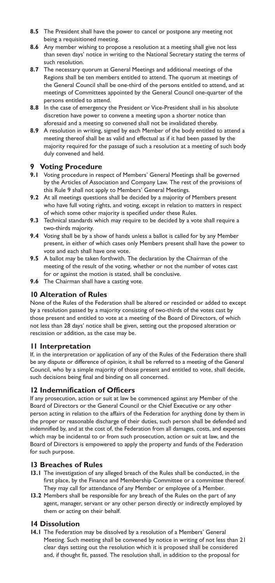- **8.5** The President shall have the power to cancel or postpone any meeting not being a requisitioned meeting.
- **8.6** Any member wishing to propose a resolution at a meeting shall give not less than seven days' notice in writing to the National Secretary stating the terms of such resolution.
- **8.7** The necessary quorum at General Meetings and additional meetings of the Regions shall be ten members entitled to attend. The quorum at meetings of the General Council shall be one-third of the persons entitled to attend, and at meetings of Committees appointed by the General Council one-quarter of the persons entitled to attend.
- **8.8** In the case of emergency the President or Vice-President shall in his absolute discretion have power to convene a meeting upon a shorter notice than aforesaid and a meeting so convened shall not be invalidated thereby.
- **8.9** A resolution in writing, signed by each Member of the body entitled to attend a meeting thereof shall be as valid and effectual as if it had been passed by the majority required for the passage of such a resolution at a meeting of such body duly convened and held.

# **9 Voting Procedure**<br>**9.1** Voting procedure in res

- **9.1** Voting procedure in respect of Members' General Meetings shall be governed by the Articles of Association and Company Law. The rest of the provisions of this Rule 9 shall not apply to Members' General Meetings.
- **9.2** At all meetings questions shall be decided by a majority of Members present who have full voting rights, and voting, except in relation to matters in respect of which some other majority is specified under these Rules.
- **9.3** Technical standards which may require to be decided by a vote shall require a two-thirds majority.
- **9.4** Voting shall be by a show of hands unless a ballot is called for by any Member present, in either of which cases only Members present shall have the power to vote and each shall have one vote.
- **9.5** A ballot may be taken forthwith. The declaration by the Chairman of the meeting of the result of the voting, whether or not the number of votes cast for or against the motion is stated, shall be conclusive.
- **9.6** The Chairman shall have a casting vote.

#### **10 Alteration of Rules**

None of the Rules of the Federation shall be altered or rescinded or added to except by a resolution passed by a majority consisting of two-thirds of the votes cast by those present and entitled to vote at a meeting of the Board of Directors, of which not less than 28 days' notice shall be given, setting out the proposed alteration or rescission or addition, as the case may be.

#### **11 Interpretation**

If, in the interpretation or application of any of the Rules of the Federation there shall be any dispute or difference of opinion, it shall be referred to a meeting of the General Council, who by a simple majority of those present and entitled to vote, shall decide, such decisions being final and binding on all concerned.

#### **12 Indemnification of Officers**

If any prosecution, action or suit at law be commenced against any Member of the Board of Directors or the General Council or the Chief Executive or any other person acting in relation to the affairs of the Federation for anything done by them in the proper or reasonable discharge of their duties, such person shall be defended and indemnified by, and at the cost of, the Federation from all damages, costs, and expenses which may be incidental to or from such prosecution, action or suit at law, and the Board of Directors is empowered to apply the property and funds of the Federation for such purpose.

#### **13 Breaches of Rules**

- **13.1** The investigation of any alleged breach of the Rules shall be conducted, in the first place, by the Finance and Membership Committee or a committee thereof. They may call for attendance of any Member or employee of a Member.
- **13.2** Members shall be responsible for any breach of the Rules on the part of any agent, manager, servant or any other person directly or indirectly employed by them or acting on their behalf.

#### **14 Dissolution**

**14.1** The Federation may be dissolved by a resolution of a Members' General Meeting. Such meeting shall be convened by notice in writing of not less than 21 clear days setting out the resolution which it is proposed shall be considered and, if thought fit, passed. The resolution shall, in addition to the proposal for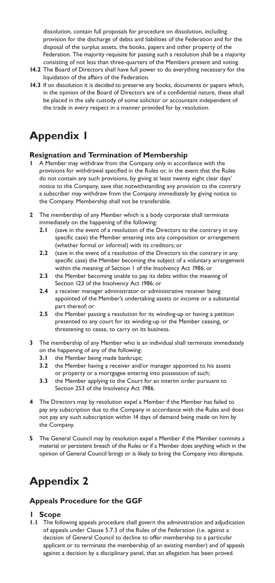dissolution, contain full proposals for procedure on dissolution, including provision for the discharge of debts and liabilities of the Federation and for the disposal of the surplus assets, the books, papers and other property of the Federation. The majority requisite for passing such a resolution shall be a majority consisting of not less than three-quarters of the Members present and voting.

- **14.2** The Board of Directors shall have full power to do everything necessary for the liquidation of the affairs of the Federation.
- **14.3** If on dissolution it is decided to preserve any books, documents or papers which, in the opinion of the Board of Directors are of a confidential nature, these shall be placed in the safe custody of some solicitor or accountant independent of the trade in every respect in a manner provided for by resolution.

# **Appendix 1**

#### **Resignation and Termination of Membership**

- **1** A Member may withdraw from the Company only in accordance with the provisions for withdrawal specified in the Rules or, in the event that the Rules do not contain any such provisions, by giving at least twenty eight clear days' notice to the Company, save that notwithstanding any provision to the contrary a subscriber may withdraw from the Company immediately by giving notice to the Company. Membership shall not be transferable.
- **2** The membership of any Member which is a body corporate shall terminate immediately on the happening of the following:
	- **2.1** (save in the event of a resolution of the Directors to the contrary in any specific case) the Member entering into any composition or arrangement (whether formal or informal) with its creditors; or
	- **2.2** (save in the event of a resolution of the Directors to the contrary in any specific case) the Member becoming the subject of a voluntary arrangement within the meaning of Section 1 of the Insolvency Act 1986; or
	- **2.3** the Member becoming unable to pay its debts within the meaning of Section 123 of the Insolvency Act 1986; or
	- **2.4** a receiver manager administrator or administrative receiver being appointed of the Member's undertaking assets or income or a substantial part thereof; or
	- **2.5** the Member passing a resolution for its winding-up or having a petition presented to any court for its winding-up or the Member ceasing, or threatening to cease, to carry on its business.
- **3** The membership of any Member who is an individual shall terminate immediately on the happening of any of the following:
	- **3.1** the Member being made bankrupt;
	- **3.2** the Member having a receiver and/or manager appointed to his assets or property or a mortgagee entering into possession of such;
	- **3.3** the Member applying to the Court for an interim order pursuant to Section 253 of the Insolvency Act 1986.
- **4** The Directors may by resolution expel a Member if the Member has failed to pay any subscription due to the Company in accordance with the Rules and does not pay any such subscription within 14 days of demand being made on him by the Company.
- **5** The General Council may by resolution expel a Member if the Member commits a material or persistent breach of the Rules or if a Member does anything which in the opinion of General Council brings or is likely to bring the Company into disrepute.

# **Appendix 2**

## **Appeals Procedure for the GGF**

#### **1 Scope**

**1.1** The following appeals procedure shall govern the administration and adjudication of appeals under Clause 5.7.3 of the Rules of the Federation (i.e. against a decision of General Council to decline to offer membership to a particular applicant or to terminate the membership of an existing member) and of appeals against a decision by a disciplinary panel, that an allegation has been proved.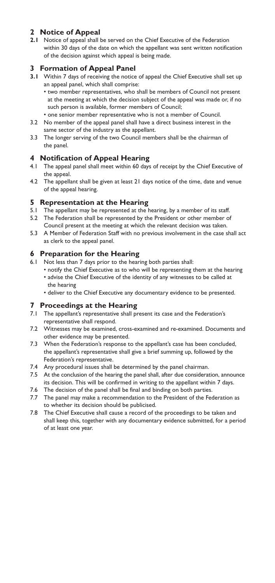# **2 Notice of Appeal**

**2.1** Notice of appeal shall be served on the Chief Executive of the Federation within 30 days of the date on which the appellant was sent written notification of the decision against which appeal is being made.

## **3 Formation of Appeal Panel**

**3.1** Within 7 days of receiving the notice of appeal the Chief Executive shall set up an appeal panel, which shall comprise:

• two member representatives, who shall be members of Council not present at the meeting at which the decision subject of the appeal was made or, if no such person is available, former members of Council;

- one senior member representative who is not a member of Council.
- 3.2 No member of the appeal panel shall have a direct business interest in the same sector of the industry as the appellant.
- 3.3 The longer serving of the two Council members shall be the chairman of the panel.

#### **4 Notification of Appeal Hearing**

- 4.1 The appeal panel shall meet within 60 days of receipt by the Chief Executive of the appeal.
- 4.2 The appellant shall be given at least 21 days notice of the time, date and venue of the appeal hearing.

#### **5 Representation at the Hearing**

- 5.1 The appellant may be represented at the hearing, by a member of its staff.
- 5.2 The Federation shall be represented by the President or other member of Council present at the meeting at which the relevant decision was taken.
- 5.3 A Member of Federation Staff with no previous involvement in the case shall act as clerk to the appeal panel.

#### **6 Preparation for the Hearing**

- 6.1 Not less than 7 days prior to the hearing both parties shall:
	- notify the Chief Executive as to who will be representing them at the hearing • advise the Chief Executive of the identity of any witnesses to be called at
	- the hearing
	- deliver to the Chief Executive any documentary evidence to be presented.

#### **7 Proceedings at the Hearing**

- 7.1 The appellant's representative shall present its case and the Federation's representative shall respond.
- 7.2 Witnesses may be examined, cross-examined and re-examined. Documents and other evidence may be presented.
- 7.3 When the Federation's response to the appellant's case has been concluded, the appellant's representative shall give a brief summing up, followed by the Federation's representative.
- 7.4 Any procedural issues shall be determined by the panel chairman.
- 7.5 At the conclusion of the hearing the panel shall, after due consideration, announce its decision. This will be confirmed in writing to the appellant within 7 days.
- 7.6 The decision of the panel shall be final and binding on both parties.
- 7.7 The panel may make a recommendation to the President of the Federation as to whether its decision should be publicised.
- 7.8 The Chief Executive shall cause a record of the proceedings to be taken and shall keep this, together with any documentary evidence submitted, for a period of at least one year.